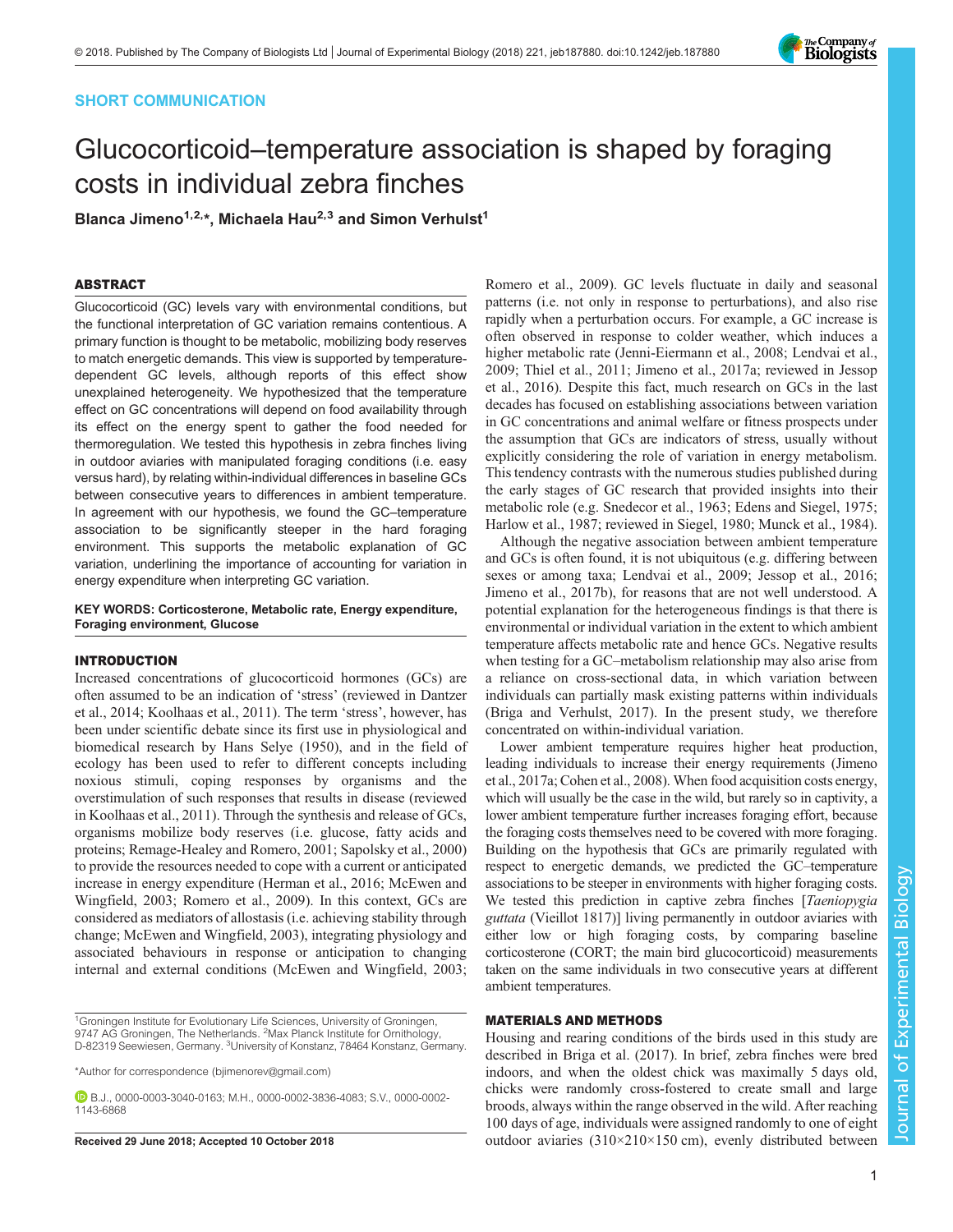# SHORT COMMUNICATION

# Glucocorticoid–temperature association is shaped by foraging costs in individual zebra finches

Blanca Jimeno<sup>1,2,\*</sup>, Michaela Hau<sup>2,3</sup> and Simon Verhulst<sup>1</sup>

# ABSTRACT

Glucocorticoid (GC) levels vary with environmental conditions, but the functional interpretation of GC variation remains contentious. A primary function is thought to be metabolic, mobilizing body reserves to match energetic demands. This view is supported by temperaturedependent GC levels, although reports of this effect show unexplained heterogeneity. We hypothesized that the temperature effect on GC concentrations will depend on food availability through its effect on the energy spent to gather the food needed for thermoregulation. We tested this hypothesis in zebra finches living in outdoor aviaries with manipulated foraging conditions (i.e. easy versus hard), by relating within-individual differences in baseline GCs between consecutive years to differences in ambient temperature. In agreement with our hypothesis, we found the GC–temperature association to be significantly steeper in the hard foraging environment. This supports the metabolic explanation of GC variation, underlining the importance of accounting for variation in energy expenditure when interpreting GC variation.

# KEY WORDS: Corticosterone, Metabolic rate, Energy expenditure, Foraging environment, Glucose

## INTRODUCTION

Increased concentrations of glucocorticoid hormones (GCs) are often assumed to be an indication of 'stress' (reviewed in [Dantzer](#page-3-0) [et al., 2014; Koolhaas et al., 2011](#page-3-0)). The term 'stress', however, has been under scientific debate since its first use in physiological and biomedical research by Hans [Selye \(1950\),](#page-3-0) and in the field of ecology has been used to refer to different concepts including noxious stimuli, coping responses by organisms and the overstimulation of such responses that results in disease (reviewed in [Koolhaas et al., 2011](#page-3-0)). Through the synthesis and release of GCs, organisms mobilize body reserves (i.e. glucose, fatty acids and proteins; [Remage-Healey and Romero, 2001](#page-3-0); [Sapolsky et al., 2000\)](#page-3-0) to provide the resources needed to cope with a current or anticipated increase in energy expenditure [\(Herman et al., 2016; McEwen and](#page-3-0) [Wingfield, 2003](#page-3-0); [Romero et al., 2009](#page-3-0)). In this context, GCs are considered as mediators of allostasis (i.e. achieving stability through change; [McEwen and Wingfield, 2003\)](#page-3-0), integrating physiology and associated behaviours in response or anticipation to changing internal and external conditions ([McEwen and Wingfield, 2003](#page-3-0);

[Romero et al., 2009](#page-3-0)). GC levels fluctuate in daily and seasonal patterns (i.e. not only in response to perturbations), and also rise rapidly when a perturbation occurs. For example, a GC increase is often observed in response to colder weather, which induces a higher metabolic rate [\(Jenni-Eiermann et al., 2008; Lendvai et al.,](#page-3-0) [2009; Thiel et al., 2011; Jimeno et al., 2017a](#page-3-0); reviewed in [Jessop](#page-3-0) [et al., 2016](#page-3-0)). Despite this fact, much research on GCs in the last decades has focused on establishing associations between variation in GC concentrations and animal welfare or fitness prospects under the assumption that GCs are indicators of stress, usually without explicitly considering the role of variation in energy metabolism. This tendency contrasts with the numerous studies published during the early stages of GC research that provided insights into their metabolic role (e.g. [Snedecor et al., 1963](#page-3-0); [Edens and Siegel, 1975](#page-3-0); [Harlow et al., 1987](#page-3-0); reviewed in [Siegel, 1980; Munck et al., 1984\)](#page-3-0).

Although the negative association between ambient temperature and GCs is often found, it is not ubiquitous (e.g. differing between sexes or among taxa; [Lendvai et al., 2009; Jessop et al., 2016](#page-3-0); [Jimeno et al., 2017b\)](#page-3-0), for reasons that are not well understood. A potential explanation for the heterogeneous findings is that there is environmental or individual variation in the extent to which ambient temperature affects metabolic rate and hence GCs. Negative results when testing for a GC–metabolism relationship may also arise from a reliance on cross-sectional data, in which variation between individuals can partially mask existing patterns within individuals [\(Briga and Verhulst, 2017](#page-2-0)). In the present study, we therefore concentrated on within-individual variation.

Lower ambient temperature requires higher heat production, leading individuals to increase their energy requirements [\(Jimeno](#page-3-0) [et al., 2017a; Cohen et al., 2008\)](#page-3-0). When food acquisition costs energy, which will usually be the case in the wild, but rarely so in captivity, a lower ambient temperature further increases foraging effort, because the foraging costs themselves need to be covered with more foraging. Building on the hypothesis that GCs are primarily regulated with respect to energetic demands, we predicted the GC–temperature associations to be steeper in environments with higher foraging costs. We tested this prediction in captive zebra finches [Taeniopygia guttata (Vieillot 1817)] living permanently in outdoor aviaries with either low or high foraging costs, by comparing baseline corticosterone (CORT; the main bird glucocorticoid) measurements taken on the same individuals in two consecutive years at different ambient temperatures.

## MATERIALS AND METHODS

Housing and rearing conditions of the birds used in this study are described in [Briga et al. \(2017\)](#page-2-0). In brief, zebra finches were bred indoors, and when the oldest chick was maximally 5 days old, chicks were randomly cross-fostered to create small and large broods, always within the range observed in the wild. After reaching 100 days of age, individuals were assigned randomly to one of eight Received 29 June 2018; Accepted 10 October 2018 **outdoor** aviaries  $(310\times210\times150 \text{ cm})$ , evenly distributed between



<sup>&</sup>lt;sup>1</sup>Groningen Institute for Evolutionary Life Sciences, University of Groningen, 9747 AG Groningen, The Netherlands. <sup>2</sup>Max Planck Institute for Ornithology, D-82319 Seewiesen, Germany. <sup>3</sup>University of Konstanz, 78464 Konstanz, Germany.

<sup>\*</sup>Author for correspondence [\(bjimenorev@gmail.com\)](mailto:bjimenorev@gmail.com)

B.J., [0000-0003-3040-0163;](http://orcid.org/0000-0003-3040-0163) M.H., [0000-0002-3836-4083;](http://orcid.org/0000-0002-3836-4083) S.V., [0000-0002-](http://orcid.org/0000-0002-1143-6868) [1143-6868](http://orcid.org/0000-0002-1143-6868)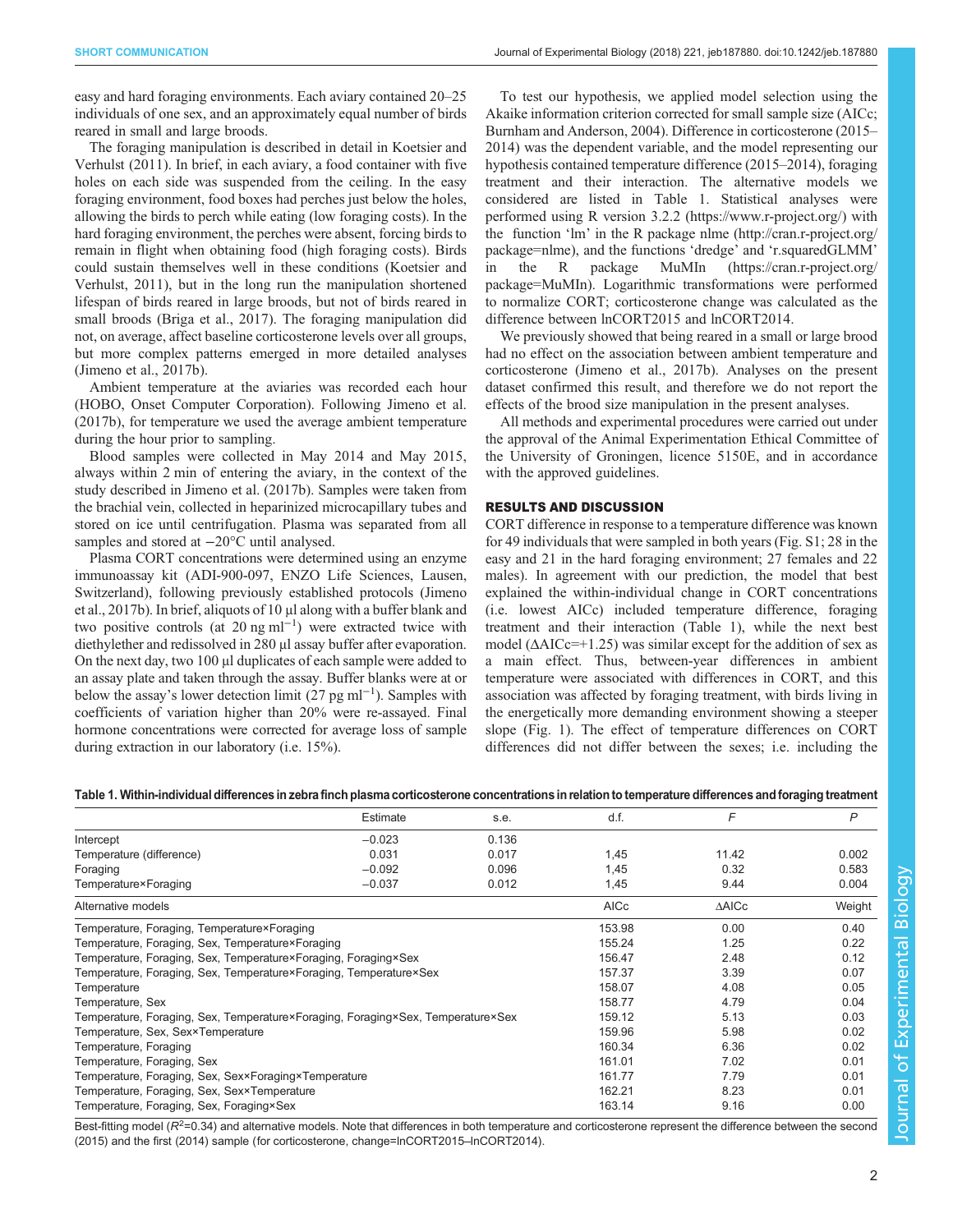easy and hard foraging environments. Each aviary contained 20–25 individuals of one sex, and an approximately equal number of birds reared in small and large broods.

The foraging manipulation is described in detail in [Koetsier and](#page-3-0) [Verhulst \(2011\)](#page-3-0). In brief, in each aviary, a food container with five holes on each side was suspended from the ceiling. In the easy foraging environment, food boxes had perches just below the holes, allowing the birds to perch while eating (low foraging costs). In the hard foraging environment, the perches were absent, forcing birds to remain in flight when obtaining food (high foraging costs). Birds could sustain themselves well in these conditions ([Koetsier and](#page-3-0) [Verhulst, 2011](#page-3-0)), but in the long run the manipulation shortened lifespan of birds reared in large broods, but not of birds reared in small broods ([Briga et al., 2017\)](#page-2-0). The foraging manipulation did not, on average, affect baseline corticosterone levels over all groups, but more complex patterns emerged in more detailed analyses [\(Jimeno et al., 2017b](#page-3-0)).

Ambient temperature at the aviaries was recorded each hour (HOBO, Onset Computer Corporation). Following [Jimeno et al.](#page-3-0) [\(2017b\),](#page-3-0) for temperature we used the average ambient temperature during the hour prior to sampling.

Blood samples were collected in May 2014 and May 2015, always within 2 min of entering the aviary, in the context of the study described in [Jimeno et al. \(2017b\).](#page-3-0) Samples were taken from the brachial vein, collected in heparinized microcapillary tubes and stored on ice until centrifugation. Plasma was separated from all samples and stored at  $-20$ °C until analysed.

Plasma CORT concentrations were determined using an enzyme immunoassay kit (ADI-900-097, ENZO Life Sciences, Lausen, Switzerland), following previously established protocols [\(Jimeno](#page-3-0) [et al., 2017b](#page-3-0)). In brief, aliquots of 10 μl along with a buffer blank and two positive controls (at 20 ng ml−<sup>1</sup> ) were extracted twice with diethylether and redissolved in 280 μl assay buffer after evaporation. On the next day, two 100 μl duplicates of each sample were added to an assay plate and taken through the assay. Buffer blanks were at or below the assay's lower detection limit  $(27 \text{ pg ml}^{-1})$ . Samples with coefficients of variation higher than 20% were re-assayed. Final hormone concentrations were corrected for average loss of sample during extraction in our laboratory (i.e. 15%).

To test our hypothesis, we applied model selection using the Akaike information criterion corrected for small sample size (AICc; [Burnham and Anderson, 2004](#page-3-0)). Difference in corticosterone (2015– 2014) was the dependent variable, and the model representing our hypothesis contained temperature difference (2015–2014), foraging treatment and their interaction. The alternative models we considered are listed in Table 1. Statistical analyses were performed using R version 3.2.2 ([https://www.r-project.org/\)](https://www.r-project.org/) with the function 'lm' in the R package nlme ([http://cran.r-project.org/](http://cran.r-project.org/package=nlme) [package=nlme\)](http://cran.r-project.org/package=nlme), and the functions 'dredge' and 'r.squaredGLMM' in the R package MuMIn ([https://cran.r-project.org/](https://cran.r-project.org/package=MuMIn) [package=MuMIn\)](https://cran.r-project.org/package=MuMIn). Logarithmic transformations were performed to normalize CORT; corticosterone change was calculated as the difference between lnCORT2015 and lnCORT2014.

We previously showed that being reared in a small or large brood had no effect on the association between ambient temperature and corticosterone ([Jimeno et al., 2017b\)](#page-3-0). Analyses on the present dataset confirmed this result, and therefore we do not report the effects of the brood size manipulation in the present analyses.

All methods and experimental procedures were carried out under the approval of the Animal Experimentation Ethical Committee of the University of Groningen, licence 5150E, and in accordance with the approved guidelines.

## RESULTS AND DISCUSSION

CORT difference in response to a temperature difference was known for 49 individuals that were sampled in both years ([Fig. S1;](http://jeb.biologists.org/lookup/doi/10.1242/jeb.187880.supplemental) 28 in the easy and 21 in the hard foraging environment; 27 females and 22 males). In agreement with our prediction, the model that best explained the within-individual change in CORT concentrations (i.e. lowest AICc) included temperature difference, foraging treatment and their interaction (Table 1), while the next best model  $(\Delta AICc=+1.25)$  was similar except for the addition of sex as a main effect. Thus, between-year differences in ambient temperature were associated with differences in CORT, and this association was affected by foraging treatment, with birds living in the energetically more demanding environment showing a steeper slope [\(Fig. 1\)](#page-2-0). The effect of temperature differences on CORT differences did not differ between the sexes; i.e. including the

## Table 1. Within-individual differences in zebra finch plasma corticosterone concentrations in relation to temperature differences and foraging treatment

|                                                                                 | Estimate | s.e.  | d.f.        | F     | P      |  |
|---------------------------------------------------------------------------------|----------|-------|-------------|-------|--------|--|
| Intercept                                                                       | $-0.023$ | 0.136 |             |       |        |  |
| Temperature (difference)                                                        | 0.031    | 0.017 | 1,45        | 11.42 | 0.002  |  |
| Foraging                                                                        | $-0.092$ | 0.096 | 1,45        | 0.32  | 0.583  |  |
| Temperature×Foraging                                                            | $-0.037$ | 0.012 | 1,45        | 9.44  | 0.004  |  |
| Alternative models                                                              |          |       | <b>AICc</b> | ∆AICc | Weight |  |
| Temperature, Foraging, Temperature×Foraging                                     |          |       | 153.98      | 0.00  | 0.40   |  |
| Temperature, Foraging, Sex, Temperature×Foraging                                |          |       | 155.24      | 1.25  | 0.22   |  |
| Temperature, Foraging, Sex, Temperature×Foraging, Foraging×Sex                  |          |       | 156.47      | 2.48  | 0.12   |  |
| Temperature, Foraging, Sex, Temperature×Foraging, Temperature×Sex               |          |       | 157.37      | 3.39  | 0.07   |  |
| Temperature                                                                     |          |       | 158.07      | 4.08  | 0.05   |  |
| Temperature, Sex                                                                |          |       | 158.77      | 4.79  | 0.04   |  |
| Temperature, Foraging, Sex, Temperature×Foraging, Foraging×Sex, Temperature×Sex |          |       | 159.12      | 5.13  | 0.03   |  |
| Temperature, Sex, Sex×Temperature                                               |          |       | 159.96      | 5.98  | 0.02   |  |
| Temperature, Foraging                                                           |          |       | 160.34      | 6.36  | 0.02   |  |
| Temperature, Foraging, Sex                                                      |          |       | 161.01      | 7.02  | 0.01   |  |
| Temperature, Foraging, Sex, Sex×Foraging×Temperature                            |          |       | 161.77      | 7.79  | 0.01   |  |
| Temperature, Foraging, Sex, Sex×Temperature                                     |          |       | 162.21      | 8.23  | 0.01   |  |
| Temperature, Foraging, Sex, Foraging×Sex                                        |          |       | 163.14      | 9.16  | 0.00   |  |

Best-fitting model ( $R^2$ =0.34) and alternative models. Note that differences in both temperature and corticosterone represent the difference between the second (2015) and the first (2014) sample (for corticosterone, change=lnCORT2015–lnCORT2014).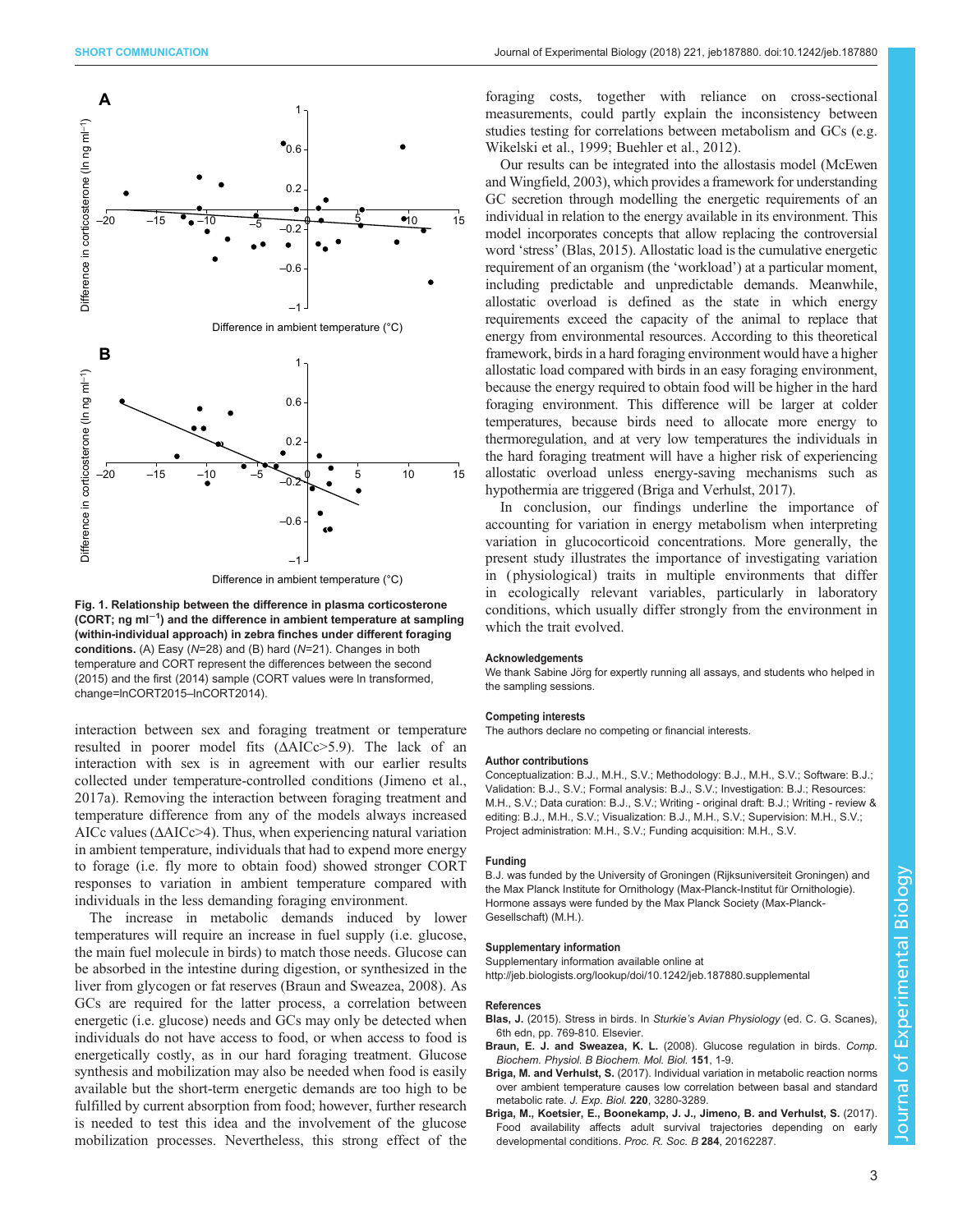<span id="page-2-0"></span>

Fig. 1. Relationship between the difference in plasma corticosterone (CORT; ng ml<sup>−1</sup>) and the difference in ambient temperature at sampling (within-individual approach) in zebra finches under different foraging conditions. (A) Easy (N=28) and (B) hard (N=21). Changes in both temperature and CORT represent the differences between the second (2015) and the first (2014) sample (CORT values were ln transformed, change=lnCORT2015–lnCORT2014).

interaction between sex and foraging treatment or temperature resulted in poorer model fits (ΔAICc>5.9). The lack of an interaction with sex is in agreement with our earlier results collected under temperature-controlled conditions ([Jimeno et al.,](#page-3-0) [2017a](#page-3-0)). Removing the interaction between foraging treatment and temperature difference from any of the models always increased AICc values ( $\triangle AICc$ >4). Thus, when experiencing natural variation in ambient temperature, individuals that had to expend more energy to forage (i.e. fly more to obtain food) showed stronger CORT responses to variation in ambient temperature compared with individuals in the less demanding foraging environment.

The increase in metabolic demands induced by lower temperatures will require an increase in fuel supply (i.e. glucose, the main fuel molecule in birds) to match those needs. Glucose can be absorbed in the intestine during digestion, or synthesized in the liver from glycogen or fat reserves (Braun and Sweazea, 2008). As GCs are required for the latter process, a correlation between energetic (i.e. glucose) needs and GCs may only be detected when individuals do not have access to food, or when access to food is energetically costly, as in our hard foraging treatment. Glucose synthesis and mobilization may also be needed when food is easily available but the short-term energetic demands are too high to be fulfilled by current absorption from food; however, further research is needed to test this idea and the involvement of the glucose mobilization processes. Nevertheless, this strong effect of the

foraging costs, together with reliance on cross-sectional measurements, could partly explain the inconsistency between studies testing for correlations between metabolism and GCs (e.g. [Wikelski et al., 1999; Buehler et al., 2012\)](#page-3-0).

Our results can be integrated into the allostasis model ([McEwen](#page-3-0) [and Wingfield, 2003](#page-3-0)), which provides a framework for understanding GC secretion through modelling the energetic requirements of an individual in relation to the energy available in its environment. This model incorporates concepts that allow replacing the controversial word 'stress' (Blas, 2015). Allostatic load is the cumulative energetic requirement of an organism (the 'workload') at a particular moment, including predictable and unpredictable demands. Meanwhile, allostatic overload is defined as the state in which energy requirements exceed the capacity of the animal to replace that energy from environmental resources. According to this theoretical framework, birds in a hard foraging environment would have a higher allostatic load compared with birds in an easy foraging environment, because the energy required to obtain food will be higher in the hard foraging environment. This difference will be larger at colder temperatures, because birds need to allocate more energy to thermoregulation, and at very low temperatures the individuals in the hard foraging treatment will have a higher risk of experiencing allostatic overload unless energy-saving mechanisms such as hypothermia are triggered (Briga and Verhulst, 2017).

In conclusion, our findings underline the importance of accounting for variation in energy metabolism when interpreting variation in glucocorticoid concentrations. More generally, the present study illustrates the importance of investigating variation in ( physiological) traits in multiple environments that differ in ecologically relevant variables, particularly in laboratory conditions, which usually differ strongly from the environment in which the trait evolved.

#### Acknowledgements

We thank Sabine Jörg for expertly running all assays, and students who helped in the sampling sessions.

#### Competing interests

The authors declare no competing or financial interests.

#### Author contributions

Conceptualization: B.J., M.H., S.V.; Methodology: B.J., M.H., S.V.; Software: B.J.; Validation: B.J., S.V.; Formal analysis: B.J., S.V.; Investigation: B.J.; Resources: M.H., S.V.; Data curation: B.J., S.V.; Writing - original draft: B.J.; Writing - review & editing: B.J., M.H., S.V.; Visualization: B.J., M.H., S.V.; Supervision: M.H., S.V.; Project administration: M.H., S.V.; Funding acquisition: M.H., S.V.

## Funding

B.J. was funded by the University of Groningen (Rijksuniversiteit Groningen) and the Max Planck Institute for Ornithology (Max-Planck-Institut für Ornithologie). Hormone assays were funded by the Max Planck Society (Max-Planck-Gesellschaft) (M.H.).

# Supplementary information

Supplementary information available online at <http://jeb.biologists.org/lookup/doi/10.1242/jeb.187880.supplemental>

#### References

- Blas, J. (2015). Stress in birds. In Sturkie's Avian Physiology (ed. C. G. Scanes), 6th edn, pp. 769-810. Elsevier.
- Braun, E. J. and Sweazea, K. L. [\(2008\). Glucose regulation in birds.](http://dx.doi.org/10.1016/j.cbpb.2008.05.007) Comp. [Biochem. Physiol. B Biochem. Mol. Biol.](http://dx.doi.org/10.1016/j.cbpb.2008.05.007) 151, 1-9.
- Briga, M. and Verhulst, S. [\(2017\). Individual variation in metabolic reaction norms](http://dx.doi.org/10.1242/jeb.160069) [over ambient temperature causes low correlation between basal and standard](http://dx.doi.org/10.1242/jeb.160069) [metabolic rate.](http://dx.doi.org/10.1242/jeb.160069) J. Exp. Biol. 220, 3280-3289.
- [Briga, M., Koetsier, E., Boonekamp, J. J., Jimeno, B. and Verhulst, S.](http://dx.doi.org/10.1098/rspb.2016.2287) (2017). [Food availability affects adult survival trajectories depending on early](http://dx.doi.org/10.1098/rspb.2016.2287) [developmental conditions.](http://dx.doi.org/10.1098/rspb.2016.2287) Proc. R. Soc. B 284, 20162287.